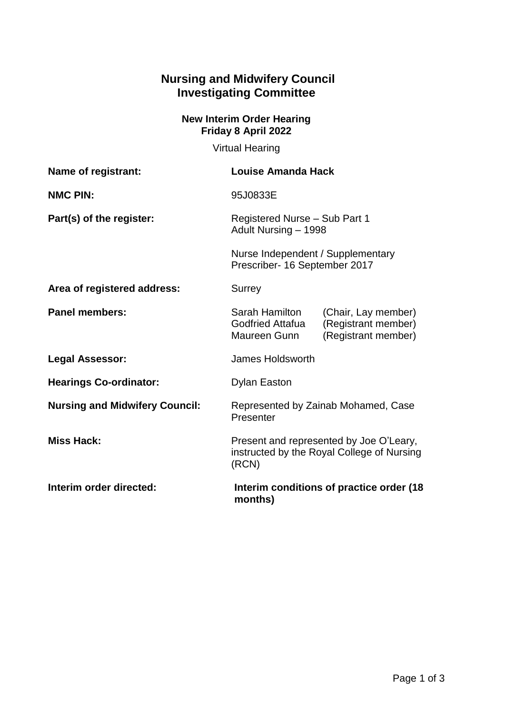## **Nursing and Midwifery Council Investigating Committee**

## **New Interim Order Hearing Friday 8 April 2022**

Virtual Hearing

| Name of registrant:                   | Louise Amanda Hack                                                                                                             |
|---------------------------------------|--------------------------------------------------------------------------------------------------------------------------------|
| <b>NMC PIN:</b>                       | 95J0833E                                                                                                                       |
| Part(s) of the register:              | Registered Nurse - Sub Part 1<br>Adult Nursing - 1998                                                                          |
|                                       | Nurse Independent / Supplementary<br>Prescriber- 16 September 2017                                                             |
| Area of registered address:           | Surrey                                                                                                                         |
| <b>Panel members:</b>                 | Sarah Hamilton<br>(Chair, Lay member)<br><b>Godfried Attafua</b><br>(Registrant member)<br>(Registrant member)<br>Maureen Gunn |
| <b>Legal Assessor:</b>                | James Holdsworth                                                                                                               |
| <b>Hearings Co-ordinator:</b>         | <b>Dylan Easton</b>                                                                                                            |
| <b>Nursing and Midwifery Council:</b> | Represented by Zainab Mohamed, Case<br>Presenter                                                                               |
| <b>Miss Hack:</b>                     | Present and represented by Joe O'Leary,<br>instructed by the Royal College of Nursing<br>(RCN)                                 |
| Interim order directed:               | Interim conditions of practice order (18<br>months)                                                                            |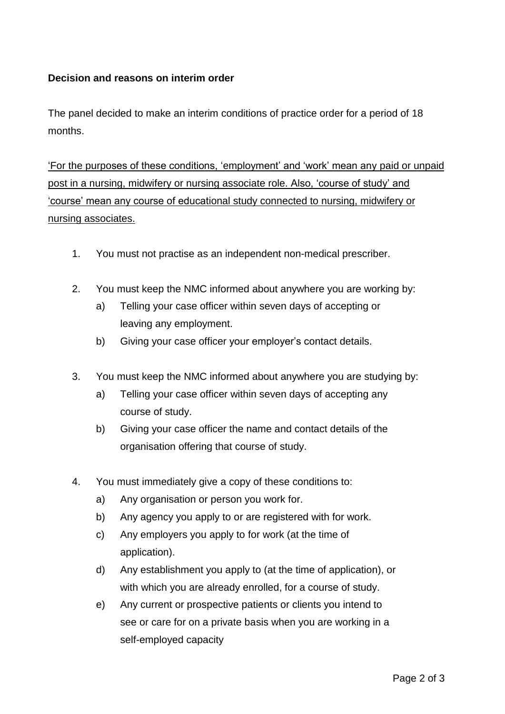## **Decision and reasons on interim order**

The panel decided to make an interim conditions of practice order for a period of 18 months.

'For the purposes of these conditions, 'employment' and 'work' mean any paid or unpaid post in a nursing, midwifery or nursing associate role. Also, 'course of study' and 'course' mean any course of educational study connected to nursing, midwifery or nursing associates.

- 1. You must not practise as an independent non-medical prescriber.
- 2. You must keep the NMC informed about anywhere you are working by:
	- a) Telling your case officer within seven days of accepting or leaving any employment.
	- b) Giving your case officer your employer's contact details.
- 3. You must keep the NMC informed about anywhere you are studying by:
	- a) Telling your case officer within seven days of accepting any course of study.
	- b) Giving your case officer the name and contact details of the organisation offering that course of study.
- 4. You must immediately give a copy of these conditions to:
	- a) Any organisation or person you work for.
	- b) Any agency you apply to or are registered with for work.
	- c) Any employers you apply to for work (at the time of application).
	- d) Any establishment you apply to (at the time of application), or with which you are already enrolled, for a course of study.
	- e) Any current or prospective patients or clients you intend to see or care for on a private basis when you are working in a self-employed capacity